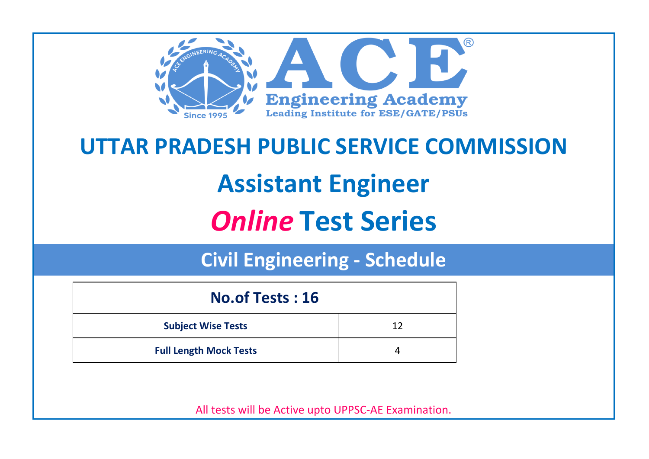

# **UTTAR PRADESH PUBLIC SERVICE COMMISSION Assistant Engineer** *Online* **Test Series**

**Civil Engineering - Schedule**

| <b>No.of Tests: 16</b>        |    |  |  |
|-------------------------------|----|--|--|
| <b>Subject Wise Tests</b>     | 12 |  |  |
| <b>Full Length Mock Tests</b> |    |  |  |

All tests will be Active upto UPPSC-AE Examination.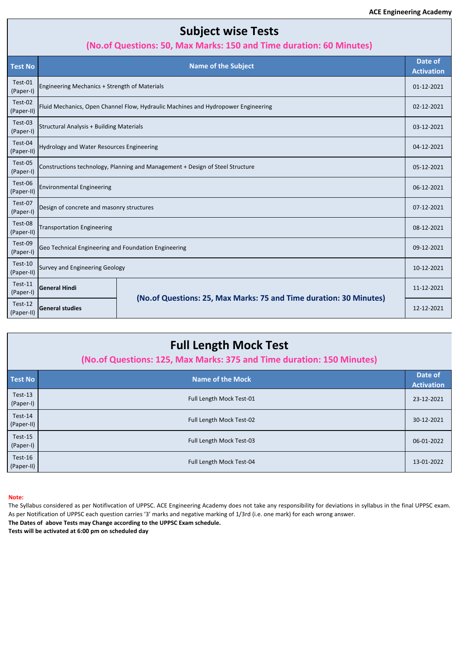# **Subject wise Tests**

### **(No.of Questions: 50, Max Marks: 150 and Time duration: 60 Minutes)**

| <b>Test No</b>        |                                                                                   | <b>Name of the Subject</b>                                         | Date of<br><b>Activation</b> |
|-----------------------|-----------------------------------------------------------------------------------|--------------------------------------------------------------------|------------------------------|
| Test-01<br>(Paper-I)  | Engineering Mechanics + Strength of Materials                                     |                                                                    | 01-12-2021                   |
| Test-02<br>(Paper-II) | Fluid Mechanics, Open Channel Flow, Hydraulic Machines and Hydropower Engineering |                                                                    | 02-12-2021                   |
| Test-03<br>(Paper-I)  | <b>Structural Analysis + Building Materials</b>                                   |                                                                    | 03-12-2021                   |
| Test-04<br>(Paper-II) | Hydrology and Water Resources Engineering                                         |                                                                    | 04-12-2021                   |
| Test-05<br>(Paper-I)  | Constructions technology, Planning and Management + Design of Steel Structure     |                                                                    | 05-12-2021                   |
| Test-06<br>(Paper-II) | <b>Environmental Engineering</b>                                                  |                                                                    | 06-12-2021                   |
| Test-07<br>(Paper-I)  | Design of concrete and masonry structures                                         |                                                                    | 07-12-2021                   |
| Test-08<br>(Paper-II) | <b>Transportation Engineering</b>                                                 |                                                                    | 08-12-2021                   |
| Test-09<br>(Paper-I)  | Geo Technical Engineering and Foundation Engineering                              |                                                                    | 09-12-2021                   |
| Test-10<br>(Paper-II) | Survey and Engineering Geology                                                    |                                                                    | 10-12-2021                   |
| Test-11<br>(Paper-I)  | <b>General Hindi</b>                                                              |                                                                    | 11-12-2021                   |
| Test-12<br>(Paper-II) | <b>General studies</b>                                                            | (No.of Questions: 25, Max Marks: 75 and Time duration: 30 Minutes) | 12-12-2021                   |

| <b>Test No</b>        | <b>Name of the Mock</b>  | Date of<br><b>Activation</b> |
|-----------------------|--------------------------|------------------------------|
| Test-13<br>(Paper-I)  | Full Length Mock Test-01 | 23-12-2021                   |
| Test-14<br>(Paper-II) | Full Length Mock Test-02 | 30-12-2021                   |
| Test-15<br>(Paper-I)  | Full Length Mock Test-03 | 06-01-2022                   |
| Test-16<br>(Paper-II) | Full Length Mock Test-04 | 13-01-2022                   |

#### **Note:**

The Syllabus considered as per Notifivcation of UPPSC. ACE Engineering Academy does not take any responsibility for deviations in syllabus in the final UPPSC exam. As per Notification of UPPSC each question carries '3' marks and negative marking of 1/3rd (i.e. one mark) for each wrong answer.

**The Dates of above Tests may Change according to the UPPSC Exam schedule.**

**Tests will be activated at 6:00 pm on scheduled day**

# **Full Length Mock Test**

## **(No.of Questions: 125, Max Marks: 375 and Time duration: 150 Minutes)**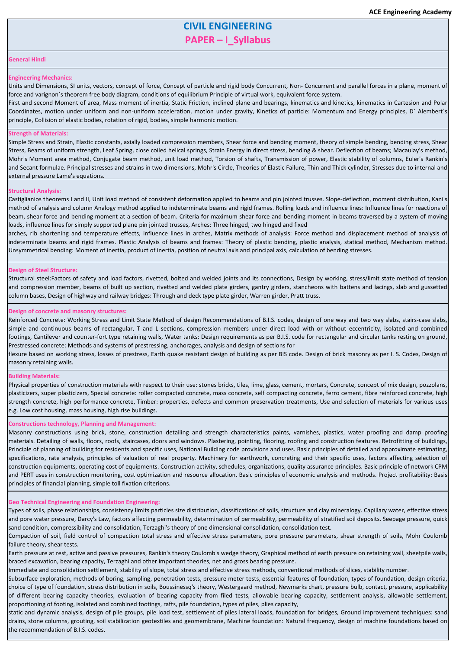# **CIVIL ENGINEERING PAPER – I\_Syllabus**

#### **General Hindi**

#### **Engineering Mechanics:**

Units and Dimensions, SI units, vectors, concept of force, Concept of particle and rigid body Concurrent, Non- Concurrent and parallel forces in a plane, moment of force and varignon`s theorem free body diagram, conditions of equilibrium Principle of virtual work, equivalent force system.

First and second Moment of area, Mass moment of inertia, Static Friction, inclined plane and bearings, kinematics and kinetics, kinematics in Cartesion and Polar Coordinates, motion under uniform and non-uniform acceleration, motion under gravity, Kinetics of particle: Momentum and Energy principles, D` Alembert`s principle, Collision of elastic bodies, rotation of rigid, bodies, simple harmonic motion.

#### **Strength of Materials:**

Simple Stress and Strain, Elastic constants, axially loaded compression members, Shear force and bending moment, theory of simple bending, bending stress, Shear Stress, Beams of uniform strength, Leaf Spring, close coiled helical springs, Strain Energy in direct stress, bending & shear. Deflection of beams; Macaulay's method, Mohr's Moment area method, Conjugate beam method, unit load method, Torsion of shafts, Transmission of power, Elastic stability of columns, Euler's Rankin's and Secant formulae. Principal stresses and strains in two dimensions, Mohr's Circle, Theories of Elastic Failure, Thin and Thick cylinder, Stresses due to internal and external pressure Lame's equations.

#### **Structural Analysis:**

Castiglianios theorems I and II, Unit load method of consistent deformation applied to beams and pin jointed trusses. Slope-deflection, moment distribution, Kani's method of analysis and column Analogy method applied to indeterminate beams and rigid frames. Rolling loads and influence lines: Influence lines for reactions of beam, shear force and bending moment at a section of beam. Criteria for maximum shear force and bending moment in beams traversed by a system of moving loads, influence lines for simply supported plane pin jointed trusses, Arches: Three hinged, two hinged and fixed

Reinforced Concrete: Working Stress and Limit State Method of design Recommendations of B.I.S. codes, design of one way and two way slabs, stairs-case slabs, simple and continuous beams of rectangular, T and L sections, compression members under direct load with or without eccentricity, isolated and combined footings, Cantilever and counter-fort type retaining walls, Water tanks: Design requirements as per B.I.S. code for rectangular and circular tanks resting on ground, Prestressed concrete: Methods and systems of prestressing, anchorages, analysis and design of sections for

arches, rib shortening and temperature effects, influence lines in arches, Matrix methods of analysis: Force method and displacement method of analysis of indeterminate beams and rigid frames. Plastic Analysis of beams and frames: Theory of plastic bending, plastic analysis, statical method, Mechanism method. Unsymmetrical bending: Moment of inertia, product of inertia, position of neutral axis and principal axis, calculation of bending stresses.

#### **Design of Steel Structure:**

Structural steel:Factors of safety and load factors, rivetted, bolted and welded joints and its connections, Design by working, stress/limit state method of tension and compression member, beams of built up section, rivetted and welded plate girders, gantry girders, stancheons with battens and lacings, slab and gussetted column bases, Design of highway and railway bridges: Through and deck type plate girder, Warren girder, Pratt truss.

#### **Design of concrete and masonry structures:**

flexure based on working stress, losses of prestress, Earth quake resistant design of building as per BIS code. Design of brick masonry as per I. S. Codes, Design of masonry retaining walls.

#### **Building Materials:**

Physical properties of construction materials with respect to their use: stones bricks, tiles, lime, glass, cement, mortars, Concrete, concept of mix design, pozzolans, plasticizers, super plasticizers, Special concrete: roller compacted concrete, mass concrete, self compacting concrete, ferro cement, fibre reinforced concrete, high strength concrete, high performance concrete, Timber: properties, defects and common preservation treatments, Use and selection of materials for various uses e.g. Low cost housing, mass housing, high rise buildings.

#### **Constructions technology, Planning and Management:**

Masonry constructions using brick, stone, construction detailing and strength characteristics paints, varnishes, plastics, water proofing and damp proofing materials. Detailing of walls, floors, roofs, staircases, doors and windows. Plastering, pointing, flooring, roofing and construction features. Retrofitting of buildings, Principle of planning of building for residents and specific uses, National Building code provisions and uses. Basic principles of detailed and approximate estimating, specifications, rate analysis, principles of valuation of real property. Machinery for earthwork, concreting and their specific uses, factors affecting selection of construction equipments, operating cost of equipments. Construction activity, schedules, organizations, quality assurance principles. Basic principle of network CPM and PERT uses in construction monitoring, cost optimization and resource allocation. Basic principles of economic analysis and methods. Project profitability: Basis principles of financial planning, simple toll fixation criterions.

#### **Geo Technical Engineering and Foundation Engineering:**

Types of soils, phase relationships, consistency limits particles size distribution, classifications of soils, structure and clay mineralogy. Capillary water, effective stress and pore water pressure, Darcy's Law, factors affecting permeability, determination of permeability, permeability of stratified soil deposits. Seepage pressure, quick sand condition, compressibility and consolidation, Terzaghi's theory of one dimensional consolidation, consolidation test.

Compaction of soil, field control of compaction total stress and effective stress parameters, pore pressure parameters, shear strength of soils, Mohr Coulomb failure theory, shear tests.

Earth pressure at rest, active and passive pressures, Rankin's theory Coulomb's wedge theory, Graphical method of earth pressure on retaining wall, sheetpile walls, braced excavation, bearing capacity, Terzaghi and other important theories, net and gross bearing pressure.

Immediate and consolidation settlement, stability of slope, total stress and effective stress methods, conventional methods of slices, stability number.

Subsurface exploration, methods of boring, sampling, penetration tests, pressure meter tests, essential features of foundation, types of foundation, design criteria, choice of type of foundation, stress distribution in soils, Boussinessq's theory, Westergaard method, Newmarks chart, pressure bulb, contact, pressure, applicability of different bearing capacity theories, evaluation of bearing capacity from filed tests, allowable bearing capacity, settlement analysis, allowable settlement, proportioning of footing, isolated and combined footings, rafts, pile foundation, types of piles, plies capacity,

static and dynamic analysis, design of pile groups, pile load test, settlement of piles lateral loads, foundation for bridges, Ground improvement techniques: sand drains, stone columns, grouting, soil stabilization geotextiles and geomembrane, Machine foundation: Natural frequency, design of machine foundations based on the recommendation of B.I.S. codes.